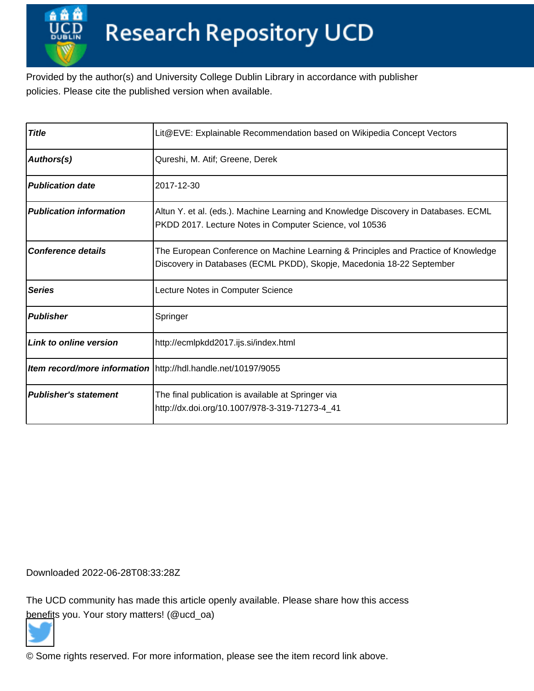Provided by the author(s) and University College Dublin Library in accordance with publisher policies. Please cite the published version when available.

| <b>Title</b>                   | Lit@EVE: Explainable Recommendation based on Wikipedia Concept Vectors                                                                                      |
|--------------------------------|-------------------------------------------------------------------------------------------------------------------------------------------------------------|
| Authors(s)                     | Qureshi, M. Atif; Greene, Derek                                                                                                                             |
| <b>Publication date</b>        | 2017-12-30                                                                                                                                                  |
| <b>Publication information</b> | Altun Y. et al. (eds.). Machine Learning and Knowledge Discovery in Databases. ECML<br>PKDD 2017. Lecture Notes in Computer Science, vol 10536              |
| <b>Conference details</b>      | The European Conference on Machine Learning & Principles and Practice of Knowledge<br>Discovery in Databases (ECML PKDD), Skopje, Macedonia 18-22 September |
| <b>Series</b>                  | Lecture Notes in Computer Science                                                                                                                           |
| <b>Publisher</b>               | Springer                                                                                                                                                    |
| Link to online version         | http://ecmlpkdd2017.ijs.si/index.html                                                                                                                       |
|                                | Item record/more information   http://hdl.handle.net/10197/9055                                                                                             |
| <b>Publisher's statement</b>   | The final publication is available at Springer via<br>http://dx.doi.org/10.1007/978-3-319-71273-4_41                                                        |

Downloaded 2022-06-28T08:33:28Z

The UCD community has made this article openly available. Please share how this access [benefit](https://twitter.com/intent/tweet?via=ucd_oa&text=Lit%40EVE%3A+Explainable+Recommendation+b...&url=http%3A%2F%2Fhdl.handle.net%2F10197%2F9055)s you. Your story matters! (@ucd\_oa)



© Some rights reserved. For more information, please see the item record link above.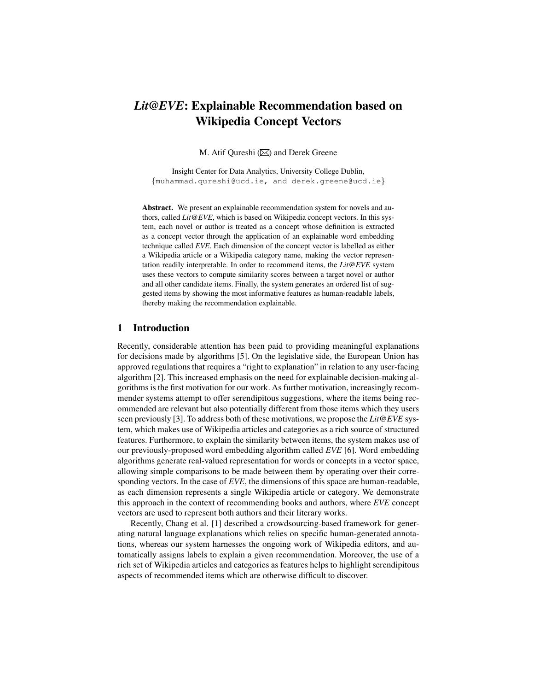# *Lit@EVE*: Explainable Recommendation based on Wikipedia Concept Vectors

M. Atif Qureshi ( $\boxtimes$ ) and Derek Greene

Insight Center for Data Analytics, University College Dublin, {muhammad.qureshi@ucd.ie, and derek.greene@ucd.ie}

Abstract. We present an explainable recommendation system for novels and authors, called *Lit@EVE*, which is based on Wikipedia concept vectors. In this system, each novel or author is treated as a concept whose definition is extracted as a concept vector through the application of an explainable word embedding technique called *EVE*. Each dimension of the concept vector is labelled as either a Wikipedia article or a Wikipedia category name, making the vector representation readily interpretable. In order to recommend items, the *Lit@EVE* system uses these vectors to compute similarity scores between a target novel or author and all other candidate items. Finally, the system generates an ordered list of suggested items by showing the most informative features as human-readable labels, thereby making the recommendation explainable.

#### 1 Introduction

Recently, considerable attention has been paid to providing meaningful explanations for decisions made by algorithms [5]. On the legislative side, the European Union has approved regulations that requires a "right to explanation" in relation to any user-facing algorithm [2]. This increased emphasis on the need for explainable decision-making algorithms is the first motivation for our work. As further motivation, increasingly recommender systems attempt to offer serendipitous suggestions, where the items being recommended are relevant but also potentially different from those items which they users seen previously [3]. To address both of these motivations, we propose the *Lit@EVE* system, which makes use of Wikipedia articles and categories as a rich source of structured features. Furthermore, to explain the similarity between items, the system makes use of our previously-proposed word embedding algorithm called *EVE* [6]. Word embedding algorithms generate real-valued representation for words or concepts in a vector space, allowing simple comparisons to be made between them by operating over their corresponding vectors. In the case of *EVE*, the dimensions of this space are human-readable, as each dimension represents a single Wikipedia article or category. We demonstrate this approach in the context of recommending books and authors, where *EVE* concept vectors are used to represent both authors and their literary works.

Recently, Chang et al. [1] described a crowdsourcing-based framework for generating natural language explanations which relies on specific human-generated annotations, whereas our system harnesses the ongoing work of Wikipedia editors, and automatically assigns labels to explain a given recommendation. Moreover, the use of a rich set of Wikipedia articles and categories as features helps to highlight serendipitous aspects of recommended items which are otherwise difficult to discover.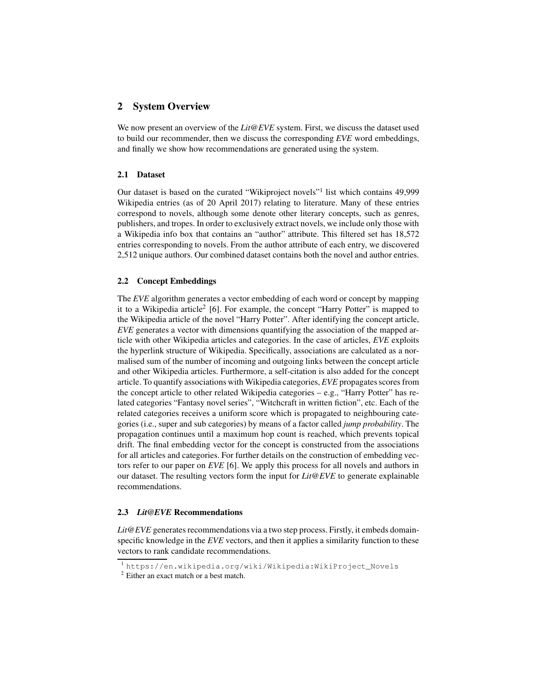## 2 System Overview

We now present an overview of the *Lit@EVE* system. First, we discuss the dataset used to build our recommender, then we discuss the corresponding *EVE* word embeddings, and finally we show how recommendations are generated using the system.

#### 2.1 Dataset

Our dataset is based on the curated "Wikiproject novels"<sup>1</sup> list which contains 49,999 Wikipedia entries (as of 20 April 2017) relating to literature. Many of these entries correspond to novels, although some denote other literary concepts, such as genres, publishers, and tropes. In order to exclusively extract novels, we include only those with a Wikipedia info box that contains an "author" attribute. This filtered set has 18,572 entries corresponding to novels. From the author attribute of each entry, we discovered 2,512 unique authors. Our combined dataset contains both the novel and author entries.

#### 2.2 Concept Embeddings

The *EVE* algorithm generates a vector embedding of each word or concept by mapping it to a Wikipedia article<sup>2</sup> [6]. For example, the concept "Harry Potter" is mapped to the Wikipedia article of the novel "Harry Potter". After identifying the concept article, *EVE* generates a vector with dimensions quantifying the association of the mapped article with other Wikipedia articles and categories. In the case of articles, *EVE* exploits the hyperlink structure of Wikipedia. Specifically, associations are calculated as a normalised sum of the number of incoming and outgoing links between the concept article and other Wikipedia articles. Furthermore, a self-citation is also added for the concept article. To quantify associations with Wikipedia categories, *EVE* propagates scores from the concept article to other related Wikipedia categories – e.g., "Harry Potter" has related categories "Fantasy novel series", "Witchcraft in written fiction", etc. Each of the related categories receives a uniform score which is propagated to neighbouring categories (i.e., super and sub categories) by means of a factor called *jump probability*. The propagation continues until a maximum hop count is reached, which prevents topical drift. The final embedding vector for the concept is constructed from the associations for all articles and categories. For further details on the construction of embedding vectors refer to our paper on *EVE* [6]. We apply this process for all novels and authors in our dataset. The resulting vectors form the input for *Lit@EVE* to generate explainable recommendations.

## 2.3 *Lit@EVE* Recommendations

*Lit@EVE* generates recommendations via a two step process. Firstly, it embeds domainspecific knowledge in the *EVE* vectors, and then it applies a similarity function to these vectors to rank candidate recommendations.

<sup>1</sup> https://en.wikipedia.org/wiki/Wikipedia:WikiProject\_Novels <sup>2</sup> Either an exact match or a best match.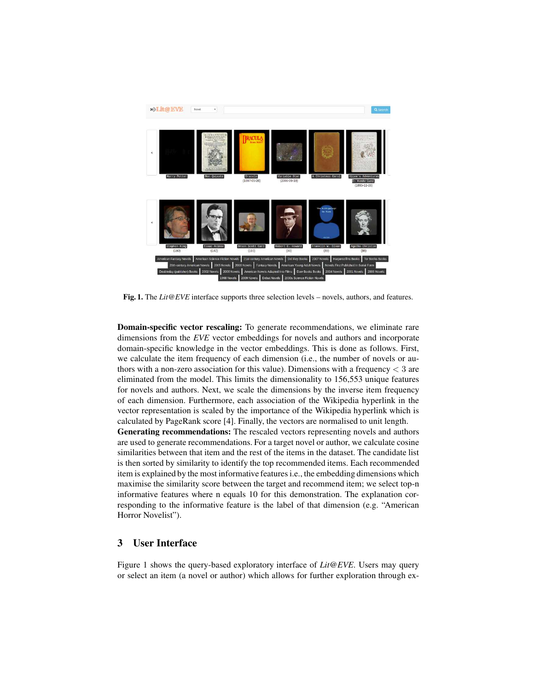

Fig. 1. The *Lit@EVE* interface supports three selection levels – novels, authors, and features.

Domain-specific vector rescaling: To generate recommendations, we eliminate rare dimensions from the *EVE* vector embeddings for novels and authors and incorporate domain-specific knowledge in the vector embeddings. This is done as follows. First, we calculate the item frequency of each dimension (i.e., the number of novels or authors with a non-zero association for this value). Dimensions with a frequency  $<$  3 are eliminated from the model. This limits the dimensionality to 156,553 unique features for novels and authors. Next, we scale the dimensions by the inverse item frequency of each dimension. Furthermore, each association of the Wikipedia hyperlink in the vector representation is scaled by the importance of the Wikipedia hyperlink which is calculated by PageRank score [4]. Finally, the vectors are normalised to unit length.

Generating recommendations: The rescaled vectors representing novels and authors are used to generate recommendations. For a target novel or author, we calculate cosine similarities between that item and the rest of the items in the dataset. The candidate list is then sorted by similarity to identify the top recommended items. Each recommended item is explained by the most informative features i.e., the embedding dimensions which maximise the similarity score between the target and recommend item; we select top-n informative features where n equals 10 for this demonstration. The explanation corresponding to the informative feature is the label of that dimension (e.g. "American Horror Novelist").

# 3 User Interface

Figure 1 shows the query-based exploratory interface of *Lit@EVE*. Users may query or select an item (a novel or author) which allows for further exploration through ex